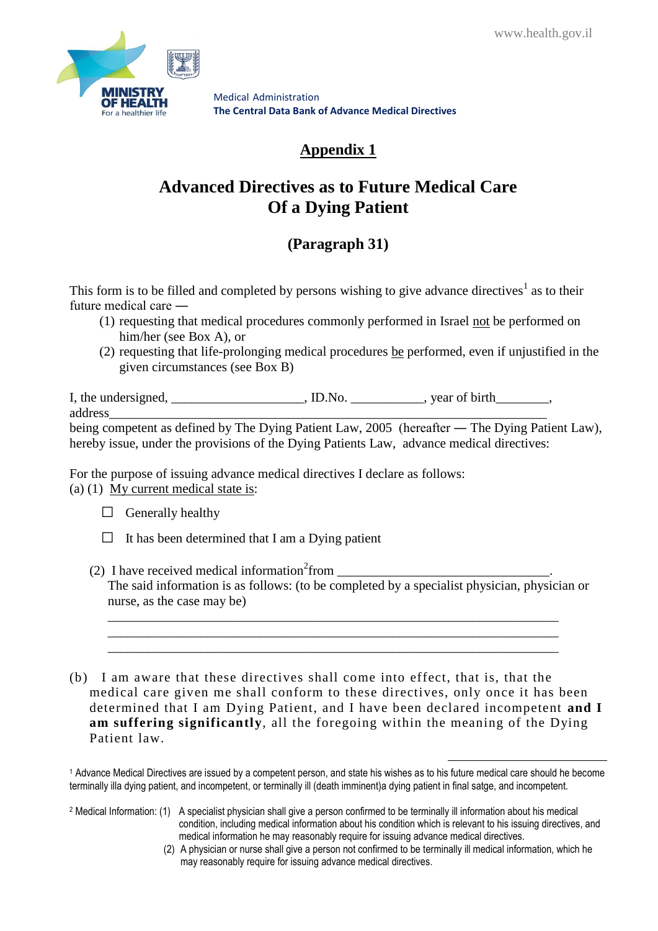

## **Appendix 1**

# **Advanced Directives as to Future Medical Care Of a Dying Patient**

## **(Paragraph 31)**

This form is to be filled and completed by persons wishing to give advance directives<sup>1</sup> as to their future medical care ―

- (1) requesting that medical procedures commonly performed in Israel not be performed on him/her (see Box A), or
- (2) requesting that life-prolonging medical procedures be performed, even if unjustified in the given circumstances (see Box B)

I, the undersigned, \_\_\_\_\_\_\_\_\_\_\_\_\_\_\_\_\_, ID.No. \_\_\_\_\_\_\_\_\_, year of birth\_\_\_\_\_\_\_, address\_\_\_\_\_\_\_\_\_\_\_\_\_\_\_\_\_\_\_\_\_\_\_\_\_\_\_\_\_\_\_\_\_\_\_\_\_\_\_\_\_\_\_\_\_\_\_\_\_\_\_\_\_\_\_\_\_\_\_\_\_\_\_\_\_\_

being competent as defined by The Dying Patient Law, 2005 (hereafter — The Dying Patient Law), hereby issue, under the provisions of the Dying Patients Law, advance medical directives:

For the purpose of issuing advance medical directives I declare as follows: (a) (1) My current medical state is:

- $\Box$  Generally healthy
- $\Box$  It has been determined that I am a Dying patient
- (2) I have received medical information<sup>2</sup> from \_\_\_\_\_\_\_\_\_\_\_\_\_\_\_\_\_\_\_\_\_\_\_\_\_\_\_\_\_\_\_\_. The said information is as follows: (to be completed by a specialist physician, physician or nurse, as the case may be)

\_\_\_\_\_\_\_\_\_\_\_\_\_\_\_\_\_\_\_\_\_\_\_\_\_\_\_\_\_\_\_\_\_\_\_\_\_\_\_\_\_\_\_\_\_\_\_\_\_\_\_\_\_\_\_\_\_\_\_\_\_\_\_\_\_\_\_\_ \_\_\_\_\_\_\_\_\_\_\_\_\_\_\_\_\_\_\_\_\_\_\_\_\_\_\_\_\_\_\_\_\_\_\_\_\_\_\_\_\_\_\_\_\_\_\_\_\_\_\_\_\_\_\_\_\_\_\_\_\_\_\_\_\_\_\_\_ \_\_\_\_\_\_\_\_\_\_\_\_\_\_\_\_\_\_\_\_\_\_\_\_\_\_\_\_\_\_\_\_\_\_\_\_\_\_\_\_\_\_\_\_\_\_\_\_\_\_\_\_\_\_\_\_\_\_\_\_\_\_\_\_\_\_\_\_

(b) I am aware that these directives shall come into effect, that is, that the medical care given me shall conform to these directives, only once it has been determined that I am Dying Patient, and I have been declared incompetent **and I am suffering significantly**, all the foregoing within the meaning of the Dying Patient law.

<sup>2</sup> Medical Information: (1) A specialist physician shall give a person confirmed to be terminally ill information about his medical condition, including medical information about his condition which is relevant to his issuing directives, and medical information he may reasonably require for issuing advance medical directives.

(2) A physician or nurse shall give a person not confirmed to be terminally ill medical information, which he may reasonably require for issuing advance medical directives.

<u>.</u>

<sup>1</sup> Advance Medical Directives are issued by a competent person, and state his wishes as to his future medical care should he become terminally illa dying patient, and incompetent, or terminally ill (death imminent)a dying patient in final satge, and incompetent.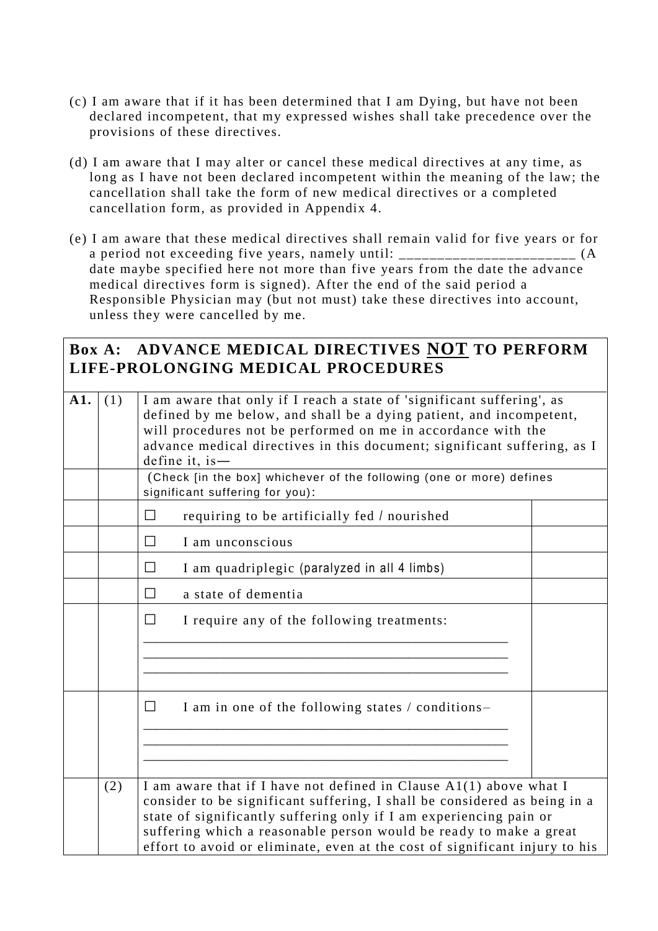- (c) I am aware that if it has been determined that I am Dying, but have not been declared incompetent, that my expressed wishes shall take precedence over the provisions of these directives.
- (d) I am aware that I may alter or cancel these medical directives at any time, as long as I have not been declared incompetent within the meaning of the law; the cancellation shall take the form of new medical directives or a completed cancellation form, as provided in Appendix 4.
- (e) I am aware that these medical directives shall remain valid for five years or for a period not exceeding five years, namely until: \_\_\_\_\_\_\_\_\_\_\_\_\_\_\_\_\_\_\_\_\_\_\_\_\_\_ (A date maybe specified here not more than five years from the date the advance medical directives form is signed). After the end of the said period a Responsible Physician may (but not must) take these directives into account, unless they were cancelled by me.

## **Box A: ADVANCE MEDICAL DIRECTIVES NOT TO PERFORM LIFE-PROLONGING MEDICAL PROCEDURES**

| A1. | (1) | I am aware that only if I reach a state of 'significant suffering', as<br>defined by me below, and shall be a dying patient, and incompetent,<br>will procedures not be performed on me in accordance with the<br>advance medical directives in this document; significant suffering, as I<br>define it, is $-$<br>(Check [in the box] whichever of the following (one or more) defines<br>significant suffering for you): |  |
|-----|-----|----------------------------------------------------------------------------------------------------------------------------------------------------------------------------------------------------------------------------------------------------------------------------------------------------------------------------------------------------------------------------------------------------------------------------|--|
|     |     | $\Box$<br>requiring to be artificially fed / nourished                                                                                                                                                                                                                                                                                                                                                                     |  |
|     |     | $\Box$<br>I am unconscious                                                                                                                                                                                                                                                                                                                                                                                                 |  |
|     |     | $\Box$<br>I am quadriplegic (paralyzed in all 4 limbs)                                                                                                                                                                                                                                                                                                                                                                     |  |
|     |     | a state of dementia<br>П                                                                                                                                                                                                                                                                                                                                                                                                   |  |
|     |     | $\Box$<br>I require any of the following treatments:                                                                                                                                                                                                                                                                                                                                                                       |  |
|     |     | $\Box$<br>I am in one of the following states / conditions-                                                                                                                                                                                                                                                                                                                                                                |  |
|     | (2) | I am aware that if I have not defined in Clause A1(1) above what I<br>consider to be significant suffering, I shall be considered as being in a<br>state of significantly suffering only if I am experiencing pain or<br>suffering which a reasonable person would be ready to make a great<br>effort to avoid or eliminate, even at the cost of significant injury to his                                                 |  |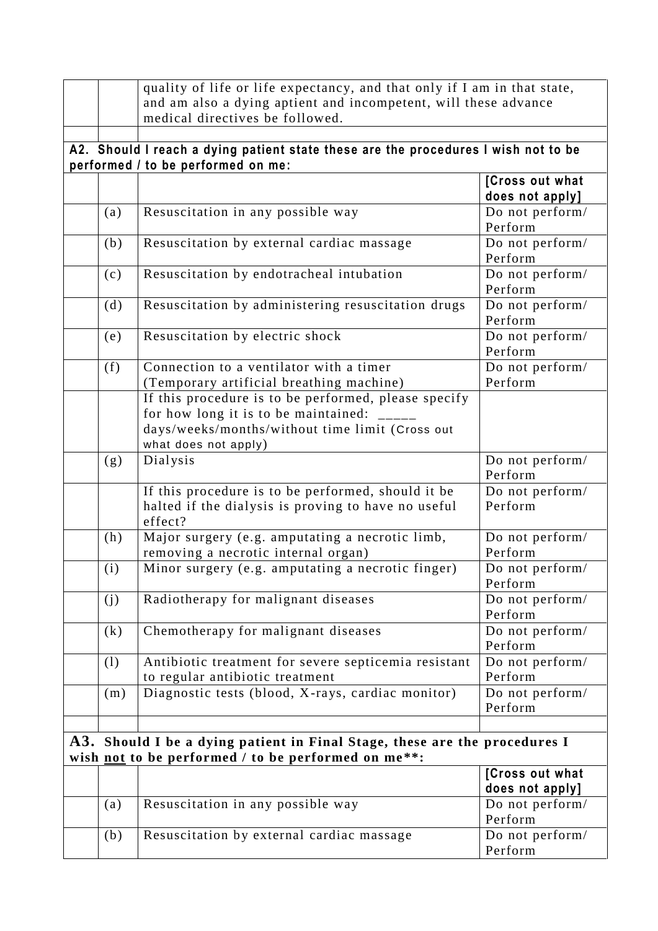|                 | quality of life or life expectancy, and that only if I am in that state,           |                            |  |
|-----------------|------------------------------------------------------------------------------------|----------------------------|--|
|                 | and am also a dying aptient and incompetent, will these advance                    |                            |  |
|                 | medical directives be followed.                                                    |                            |  |
|                 |                                                                                    |                            |  |
|                 | A2. Should I reach a dying patient state these are the procedures I wish not to be |                            |  |
|                 | performed / to be performed on me:                                                 |                            |  |
|                 |                                                                                    | [Cross out what            |  |
|                 |                                                                                    | does not apply]            |  |
| (a)             | Resuscitation in any possible way                                                  | Do not perform/            |  |
|                 |                                                                                    | Perform                    |  |
| (b)             | Resuscitation by external cardiac massage                                          | Do not perform/<br>Perform |  |
| (c)             | Resuscitation by endotracheal intubation                                           | Do not perform/<br>Perform |  |
| (d)             | Resuscitation by administering resuscitation drugs                                 | Do not perform/<br>Perform |  |
| (e)             | Resuscitation by electric shock                                                    | Do not perform/<br>Perform |  |
| (f)             | Connection to a ventilator with a timer                                            | Do not perform/            |  |
|                 | (Temporary artificial breathing machine)                                           | Perform                    |  |
|                 | If this procedure is to be performed, please specify                               |                            |  |
|                 | for how long it is to be maintained:                                               |                            |  |
|                 | days/weeks/months/without time limit (Cross out                                    |                            |  |
|                 | what does not apply)                                                               |                            |  |
| (g)             | Dialysis                                                                           | Do not perform/            |  |
|                 |                                                                                    | Perform                    |  |
|                 | If this procedure is to be performed, should it be                                 | Do not perform/            |  |
|                 | halted if the dialysis is proving to have no useful<br>effect?                     | Perform                    |  |
| (h)             | Major surgery (e.g. amputating a necrotic limb,                                    | Do not perform/            |  |
|                 | removing a necrotic internal organ)                                                | Perform                    |  |
| (i)             | Minor surgery (e.g. amputating a necrotic finger)                                  | Do not perform/            |  |
|                 |                                                                                    | Perform                    |  |
| (j)             | Radiotherapy for malignant diseases                                                | Do not perform/            |  |
|                 |                                                                                    | Perform                    |  |
| (k)             | Chemotherapy for malignant diseases                                                | Do not perform/            |  |
|                 |                                                                                    | Perform                    |  |
| (1)             | Antibiotic treatment for severe septicemia resistant                               | Do not perform/            |  |
|                 | to regular antibiotic treatment                                                    | Perform                    |  |
| (m)             | Diagnostic tests (blood, X-rays, cardiac monitor)                                  | Do not perform/            |  |
|                 |                                                                                    | Perform                    |  |
|                 |                                                                                    |                            |  |
|                 | A3. Should I be a dying patient in Final Stage, these are the procedures I         |                            |  |
|                 | wish not to be performed / to be performed on me**:                                |                            |  |
| [Cross out what |                                                                                    |                            |  |
|                 |                                                                                    | does not apply]            |  |
| (a)             | Resuscitation in any possible way                                                  | Do not perform/            |  |
|                 |                                                                                    | Perform                    |  |
| (b)             | Resuscitation by external cardiac massage                                          | Do not perform/            |  |
|                 |                                                                                    | Perform                    |  |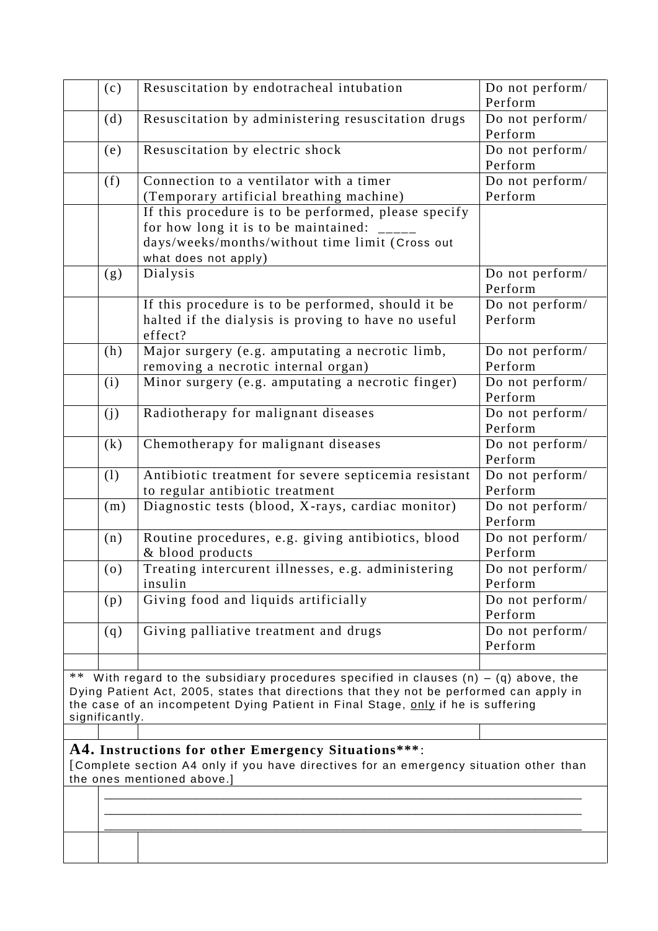|    | (c)            | Resuscitation by endotracheal intubation                                                                                                                                    | Do not perform/ |
|----|----------------|-----------------------------------------------------------------------------------------------------------------------------------------------------------------------------|-----------------|
|    |                |                                                                                                                                                                             | Perform         |
|    | (d)            | Resuscitation by administering resuscitation drugs                                                                                                                          | Do not perform/ |
|    |                |                                                                                                                                                                             | Perform         |
|    | (e)            | Resuscitation by electric shock                                                                                                                                             | Do not perform/ |
|    |                |                                                                                                                                                                             | Perform         |
|    | (f)            | Connection to a ventilator with a timer                                                                                                                                     | Do not perform/ |
|    |                | (Temporary artificial breathing machine)                                                                                                                                    | Perform         |
|    |                | If this procedure is to be performed, please specify                                                                                                                        |                 |
|    |                | for how long it is to be maintained:                                                                                                                                        |                 |
|    |                | days/weeks/months/without time limit (Cross out                                                                                                                             |                 |
|    |                | what does not apply)                                                                                                                                                        |                 |
|    | (g)            | Dialysis                                                                                                                                                                    | Do not perform/ |
|    |                |                                                                                                                                                                             | Perform         |
|    |                | If this procedure is to be performed, should it be                                                                                                                          | Do not perform/ |
|    |                | halted if the dialysis is proving to have no useful                                                                                                                         | Perform         |
|    |                | effect?                                                                                                                                                                     |                 |
|    | (h)            | Major surgery (e.g. amputating a necrotic limb,                                                                                                                             | Do not perform/ |
|    |                | removing a necrotic internal organ)                                                                                                                                         | Perform         |
|    | (i)            | Minor surgery (e.g. amputating a necrotic finger)                                                                                                                           | Do not perform/ |
|    |                |                                                                                                                                                                             | Perform         |
|    | (j)            | Radiotherapy for malignant diseases                                                                                                                                         | Do not perform/ |
|    |                |                                                                                                                                                                             | Perform         |
|    | (k)            | Chemotherapy for malignant diseases                                                                                                                                         | Do not perform/ |
|    |                |                                                                                                                                                                             | Perform         |
|    | (1)            | Antibiotic treatment for severe septicemia resistant                                                                                                                        | Do not perform/ |
|    |                | to regular antibiotic treatment                                                                                                                                             | Perform         |
|    | (m)            | Diagnostic tests (blood, X-rays, cardiac monitor)                                                                                                                           | Do not perform/ |
|    |                |                                                                                                                                                                             | Perform         |
|    | (n)            | Routine procedures, e.g. giving antibiotics, blood                                                                                                                          | Do not perform/ |
|    |                | & blood products                                                                                                                                                            | Perform         |
|    | (0)            | Treating intercurent illnesses, e.g. administering                                                                                                                          | Do not perform/ |
|    |                | insulin                                                                                                                                                                     | Perform         |
|    | (p)            | Giving food and liquids artificially                                                                                                                                        | Do not perform/ |
|    |                |                                                                                                                                                                             | Perform         |
|    | (q)            | Giving palliative treatment and drugs                                                                                                                                       | Do not perform/ |
|    |                |                                                                                                                                                                             | Perform         |
|    |                |                                                                                                                                                                             |                 |
| ** |                | With regard to the subsidiary procedures specified in clauses $(n) - (q)$ above, the                                                                                        |                 |
|    |                | Dying Patient Act, 2005, states that directions that they not be performed can apply in<br>the case of an incompetent Dying Patient in Final Stage, only if he is suffering |                 |
|    | significantly. |                                                                                                                                                                             |                 |
|    |                |                                                                                                                                                                             |                 |
|    |                | A4. Instructions for other Emergency Situations***:                                                                                                                         |                 |
|    |                | [Complete section A4 only if you have directives for an emergency situation other than                                                                                      |                 |
|    |                | the ones mentioned above.]                                                                                                                                                  |                 |
|    |                |                                                                                                                                                                             |                 |
|    |                |                                                                                                                                                                             |                 |
|    |                |                                                                                                                                                                             |                 |
|    |                |                                                                                                                                                                             |                 |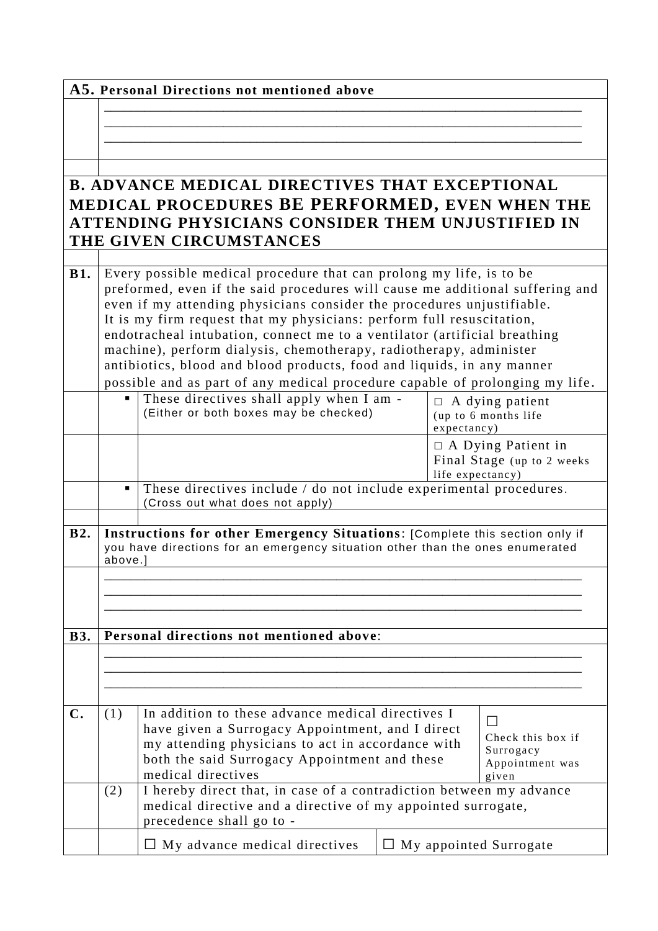|                |                                                                                                                                                                                                                                                                                                         | A5. Personal Directions not mentioned above                                                                                                                                                                                       |                                                                              |
|----------------|---------------------------------------------------------------------------------------------------------------------------------------------------------------------------------------------------------------------------------------------------------------------------------------------------------|-----------------------------------------------------------------------------------------------------------------------------------------------------------------------------------------------------------------------------------|------------------------------------------------------------------------------|
|                |                                                                                                                                                                                                                                                                                                         |                                                                                                                                                                                                                                   |                                                                              |
|                |                                                                                                                                                                                                                                                                                                         |                                                                                                                                                                                                                                   |                                                                              |
|                |                                                                                                                                                                                                                                                                                                         |                                                                                                                                                                                                                                   |                                                                              |
|                |                                                                                                                                                                                                                                                                                                         | <b>B. ADVANCE MEDICAL DIRECTIVES THAT EXCEPTIONAL</b>                                                                                                                                                                             |                                                                              |
|                |                                                                                                                                                                                                                                                                                                         | MEDICAL PROCEDURES BE PERFORMED, EVEN WHEN THE                                                                                                                                                                                    |                                                                              |
|                |                                                                                                                                                                                                                                                                                                         | ATTENDING PHYSICIANS CONSIDER THEM UNJUSTIFIED IN                                                                                                                                                                                 |                                                                              |
|                |                                                                                                                                                                                                                                                                                                         | THE GIVEN CIRCUMSTANCES                                                                                                                                                                                                           |                                                                              |
| <b>B1.</b>     | Every possible medical procedure that can prolong my life, is to be<br>preformed, even if the said procedures will cause me additional suffering and<br>even if my attending physicians consider the procedures unjustifiable.<br>It is my firm request that my physicians: perform full resuscitation, |                                                                                                                                                                                                                                   |                                                                              |
|                |                                                                                                                                                                                                                                                                                                         | endotracheal intubation, connect me to a ventilator (artificial breathing<br>machine), perform dialysis, chemotherapy, radiotherapy, administer<br>antibiotics, blood and blood products, food and liquids, in any manner         |                                                                              |
|                |                                                                                                                                                                                                                                                                                                         | possible and as part of any medical procedure capable of prolonging my life.                                                                                                                                                      |                                                                              |
|                |                                                                                                                                                                                                                                                                                                         | These directives shall apply when I am -<br>(Either or both boxes may be checked)                                                                                                                                                 | $\Box$ A dying patient<br>(up to 6 months life<br>expectancy)                |
|                |                                                                                                                                                                                                                                                                                                         |                                                                                                                                                                                                                                   | $\Box$ A Dying Patient in<br>Final Stage (up to 2 weeks)<br>life expectancy) |
|                | $\blacksquare$                                                                                                                                                                                                                                                                                          | These directives include / do not include experimental procedures.<br>(Cross out what does not apply)                                                                                                                             |                                                                              |
| <b>B2.</b>     | Instructions for other Emergency Situations: [Complete this section only if                                                                                                                                                                                                                             |                                                                                                                                                                                                                                   |                                                                              |
|                | you have directions for an emergency situation other than the ones enumerated<br>above.]                                                                                                                                                                                                                |                                                                                                                                                                                                                                   |                                                                              |
|                |                                                                                                                                                                                                                                                                                                         |                                                                                                                                                                                                                                   |                                                                              |
|                |                                                                                                                                                                                                                                                                                                         |                                                                                                                                                                                                                                   |                                                                              |
| <b>B3.</b>     |                                                                                                                                                                                                                                                                                                         |                                                                                                                                                                                                                                   |                                                                              |
|                | Personal directions not mentioned above:                                                                                                                                                                                                                                                                |                                                                                                                                                                                                                                   |                                                                              |
|                |                                                                                                                                                                                                                                                                                                         |                                                                                                                                                                                                                                   |                                                                              |
|                |                                                                                                                                                                                                                                                                                                         |                                                                                                                                                                                                                                   |                                                                              |
| $\mathbf{C}$ . | (1)                                                                                                                                                                                                                                                                                                     | In addition to these advance medical directives I<br>have given a Surrogacy Appointment, and I direct<br>my attending physicians to act in accordance with<br>both the said Surrogacy Appointment and these<br>medical directives | Check this box if<br>Surrogacy<br>Appointment was<br>given                   |
|                | I hereby direct that, in case of a contradiction between my advance<br>(2)<br>medical directive and a directive of my appointed surrogate,<br>precedence shall go to -                                                                                                                                  |                                                                                                                                                                                                                                   |                                                                              |
|                |                                                                                                                                                                                                                                                                                                         | $\Box$ My advance medical directives                                                                                                                                                                                              | $\Box$ My appointed Surrogate                                                |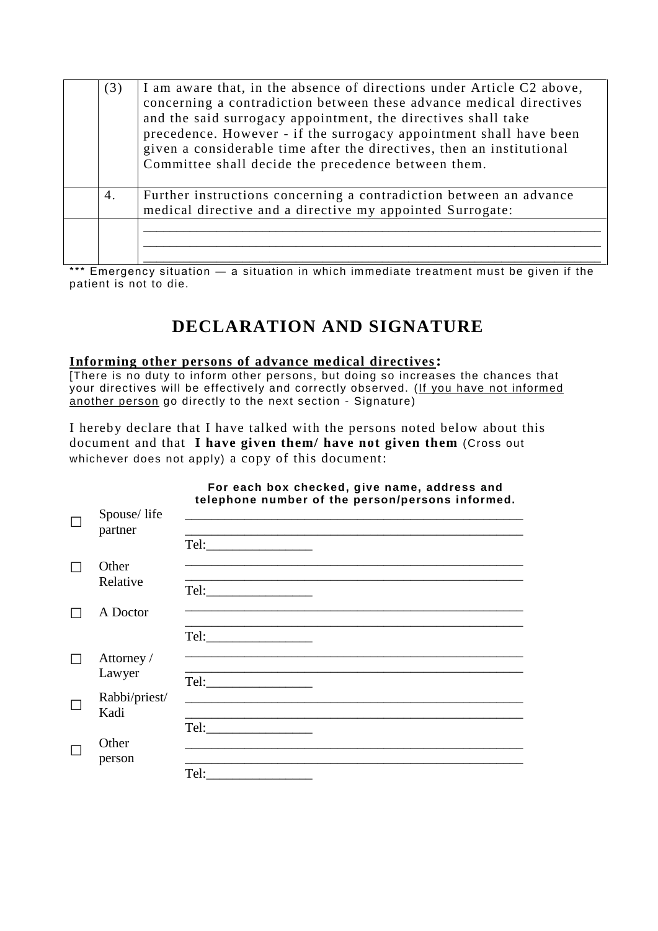| (3) | I am aware that, in the absence of directions under Article C2 above,<br>concerning a contradiction between these advance medical directives<br>and the said surrogacy appointment, the directives shall take<br>precedence. However - if the surrogacy appointment shall have been<br>given a considerable time after the directives, then an institutional<br>Committee shall decide the precedence between them. |
|-----|---------------------------------------------------------------------------------------------------------------------------------------------------------------------------------------------------------------------------------------------------------------------------------------------------------------------------------------------------------------------------------------------------------------------|
| 4.  | Further instructions concerning a contradiction between an advance<br>medical directive and a directive my appointed Surrogate:                                                                                                                                                                                                                                                                                     |
|     |                                                                                                                                                                                                                                                                                                                                                                                                                     |

\*\*\* Emergency situation — a situation in which immediate treatment must be given if the patient is not to die.

# **DECLARATION AND SIGNATURE**

#### **Informing other persons of advance medical directives:**

[There is no duty to inform other persons, but doing so increases the chances that your directives will be effectively and correctly observed. (If you have not informed another person go directly to the next section - Signature)

I hereby declare that I have talked with the persons noted below about this document and that **I have given them/ have not given them** (Cross out whichever does not apply) a copy of this document:

|                        | For each box checked, give name, address and<br>telephone number of the person/persons informed.                                                                                                                           |
|------------------------|----------------------------------------------------------------------------------------------------------------------------------------------------------------------------------------------------------------------------|
| Spouse/life<br>partner | the control of the control of the control of the control of the control of the control of<br><u> 1989 - Johann John Stone, mars et al. 1989 - John Stone, mars et al. 1989 - John Stone, mars et al. 1989 - John Stone</u> |
|                        |                                                                                                                                                                                                                            |
| Other<br>Relative      |                                                                                                                                                                                                                            |
| A Doctor               |                                                                                                                                                                                                                            |
|                        | Tel:                                                                                                                                                                                                                       |
| Attorney /<br>Lawyer   |                                                                                                                                                                                                                            |
| Rabbi/priest/<br>Kadi  |                                                                                                                                                                                                                            |
|                        |                                                                                                                                                                                                                            |
| Other<br>person        |                                                                                                                                                                                                                            |
|                        |                                                                                                                                                                                                                            |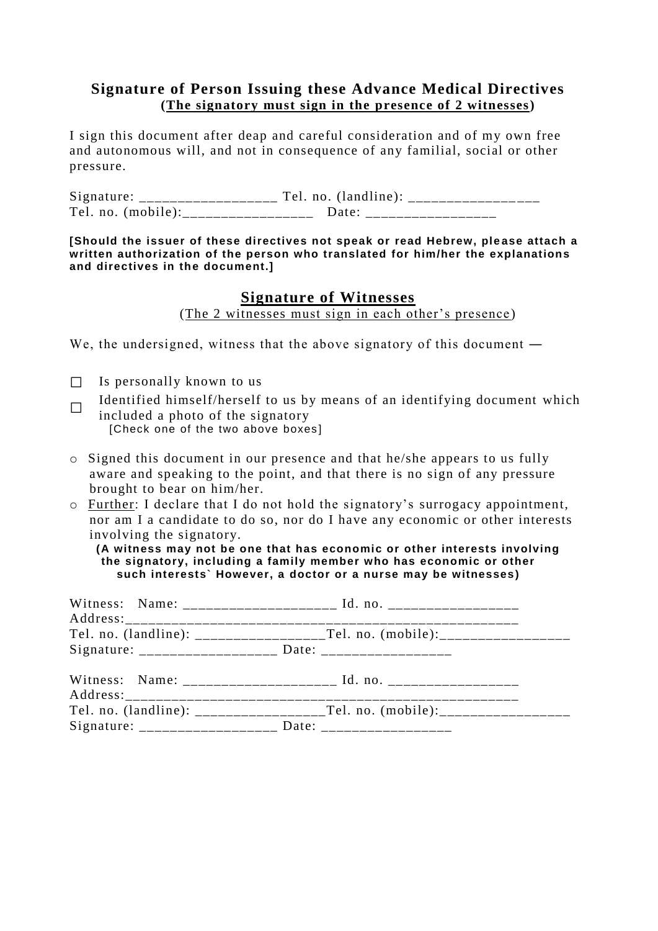### **Signature of Person Issuing these Advance Medical Directives (The signatory must sign in the presence of 2 witnesses)**

I sign this document after deap and careful consideration and of my own free and autonomous will, and not in consequence of any familial, social or other pressure.

Signature: \_\_\_\_\_\_\_\_\_\_\_\_\_\_\_\_\_\_ Tel. no. (landline): \_\_\_\_\_\_\_\_\_\_\_\_\_\_ \_\_\_ Tel. no. (mobile): Date:

**[Should the issuer of these directives not speak or read Hebrew, please attach a written authorization of the person who translated for him/her the explanations and directives in the document.]**

#### **Signature of Witnesses**

(The 2 witnesses must sign in each other's presence )

We, the undersigned, witness that the above signatory of this document —

- $\Box$  Is personally known to us
- □ Identified himself/herself to us by means of an identifying document which included a photo of the signatory [Check one of the two above boxes]
- o Signed this document in our presence and that he/she appears to us fully aware and speaking to the point, and that there is no sign of any pressure brought to bear on him/her.
- o Further: I declare that I do not hold the signatory's surrogacy appointment, nor am I a candidate to do so, nor do I have any economic or other interests involving the signatory.

**(A witness may not be one that has economic or other interests involving the signatory, including a family member who has economic or other such interests` However, a doctor or a nurse may be witnesses)**

| Signature: _____________________ Date: ____________________ |
|-------------------------------------------------------------|
|                                                             |
|                                                             |
| Signature: _____________________ Date: ___________________  |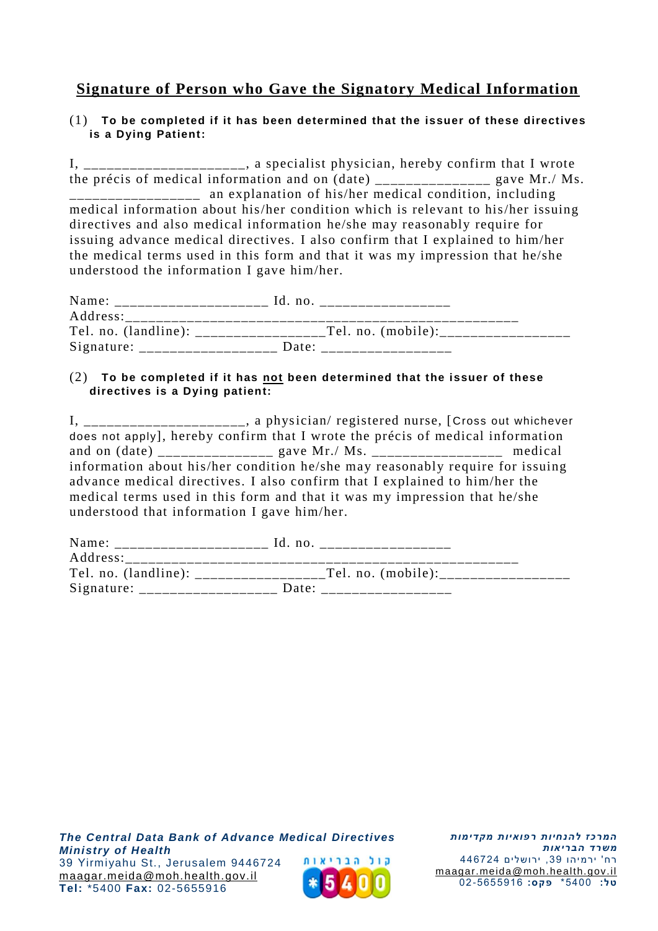## **Signature of Person who Gave the Signatory Medical Information**

#### (1) **To be completed if it has been determined that the issuer of these directives is a Dying Patient:**

I, \_\_\_\_\_\_\_\_\_\_\_\_\_\_\_\_\_, a specialist physician, hereby confirm that I wrote the précis of medical information and on  $(\text{date})$  \_\_\_\_\_\_\_\_\_\_\_\_\_\_\_\_\_ gave Mr./ Ms. an explanation of his/her medical condition, including medical information about his/her condition which is relevant to his/her issuing directives and also medical information he/she may reasonably require for issuing advance medical directives. I also confirm that I explained to him/her the medical terms used in this form and that it was my impression that he/she understood the information I gave him/her.

| Name:                | Id. no             |
|----------------------|--------------------|
| Address:             |                    |
| Tel. no. (landline): | Tel. no. (mobile): |
| Signature:           | Date:              |

#### (2) **To be completed if it has not been determined that the issuer of these directives is a Dying patient:**

I, \_\_\_\_\_\_\_\_\_\_\_\_\_\_\_\_\_\_\_, a physician/ registered nurse, [Cross out whichever does not apply], hereby confirm that I wrote the précis of medical information and on (date) \_\_\_\_\_\_\_\_\_\_\_\_\_\_\_ gave Mr./ Ms. \_\_\_\_\_\_\_\_\_\_\_\_\_\_\_\_\_ medical information about his/her condition he/she may reasonably require for issuing advance medical directives. I also confirm that I explained to him/her the medical terms used in this form and that it was my impression that he/she understood that information I gave him/her.

| Name:      | Id. no.              |
|------------|----------------------|
| Address:   |                      |
|            | Tel. no. $(mobile):$ |
| Signature: | Date:                |

*The Central Data Bank of Advance Medical Directives Ministry of Health* קול הבריאות 39 Υirmiyahu St., Jerusalem 9446724 [maagar.meida@moh.health.gov.il](mailto:maagar.meida@moh.health.gov.il) **Tel :** \*5400 **Fax :** 02-5655916

*המרכז להנחיות רפואיות מקדימות משרד הבריאות* רח' ירמיהו ,39 ירושלים 446724 [maagar.meida@moh.health.gov.il](file:///C:/Users/eti.biton/guy.zwerdling/AppData/Roaming/Microsoft/Word/maagar.meida@moh.health.gov.il) **טל:** 5400\* **פ ק ס:** 02-5655916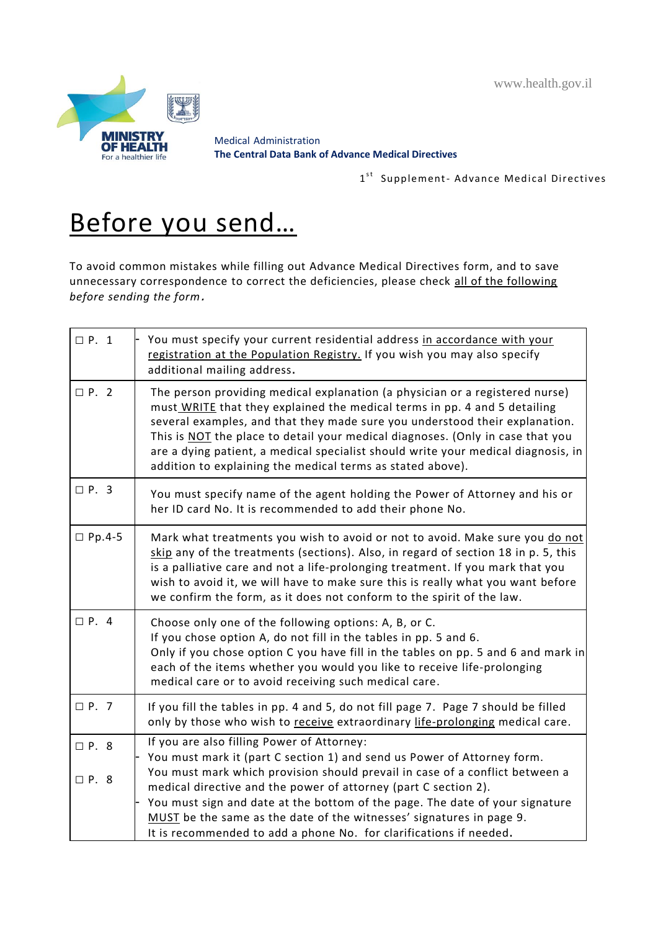www.health.gov.il



Medical Administration **The Central Data Bank of Advance Medical Directives**

1st Supplement- Advance Medical Directives

# Before you send…

To avoid common mistakes while filling out Advance Medical Directives form, and to save unnecessary correspondence to correct the deficiencies, please check all of the following *before sending the form*.

| $\Box$ P. 1                | You must specify your current residential address in accordance with your<br>registration at the Population Registry. If you wish you may also specify<br>additional mailing address.                                                                                                                                                                                                                                                                                         |
|----------------------------|-------------------------------------------------------------------------------------------------------------------------------------------------------------------------------------------------------------------------------------------------------------------------------------------------------------------------------------------------------------------------------------------------------------------------------------------------------------------------------|
| $\Box P. 2$                | The person providing medical explanation (a physician or a registered nurse)<br>must WRITE that they explained the medical terms in pp. 4 and 5 detailing<br>several examples, and that they made sure you understood their explanation.<br>This is NOT the place to detail your medical diagnoses. (Only in case that you<br>are a dying patient, a medical specialist should write your medical diagnosis, in<br>addition to explaining the medical terms as stated above). |
| $\Box$ P. 3                | You must specify name of the agent holding the Power of Attorney and his or<br>her ID card No. It is recommended to add their phone No.                                                                                                                                                                                                                                                                                                                                       |
| $\square$ Pp.4-5           | Mark what treatments you wish to avoid or not to avoid. Make sure you do not<br>skip any of the treatments (sections). Also, in regard of section 18 in p. 5, this<br>is a palliative care and not a life-prolonging treatment. If you mark that you<br>wish to avoid it, we will have to make sure this is really what you want before<br>we confirm the form, as it does not conform to the spirit of the law.                                                              |
| $\Box$ P. 4                | Choose only one of the following options: A, B, or C.<br>If you chose option A, do not fill in the tables in pp. 5 and 6.<br>Only if you chose option C you have fill in the tables on pp. 5 and 6 and mark in<br>each of the items whether you would you like to receive life-prolonging<br>medical care or to avoid receiving such medical care.                                                                                                                            |
| $\Box$ P. 7                | If you fill the tables in pp. 4 and 5, do not fill page 7. Page 7 should be filled<br>only by those who wish to receive extraordinary life-prolonging medical care.                                                                                                                                                                                                                                                                                                           |
| $\Box$ P. 8<br>$\Box$ P. 8 | If you are also filling Power of Attorney:<br>You must mark it (part C section 1) and send us Power of Attorney form.<br>You must mark which provision should prevail in case of a conflict between a<br>medical directive and the power of attorney (part C section 2).<br>You must sign and date at the bottom of the page. The date of your signature<br>MUST be the same as the date of the witnesses' signatures in page 9.                                              |
|                            | It is recommended to add a phone No. for clarifications if needed.                                                                                                                                                                                                                                                                                                                                                                                                            |